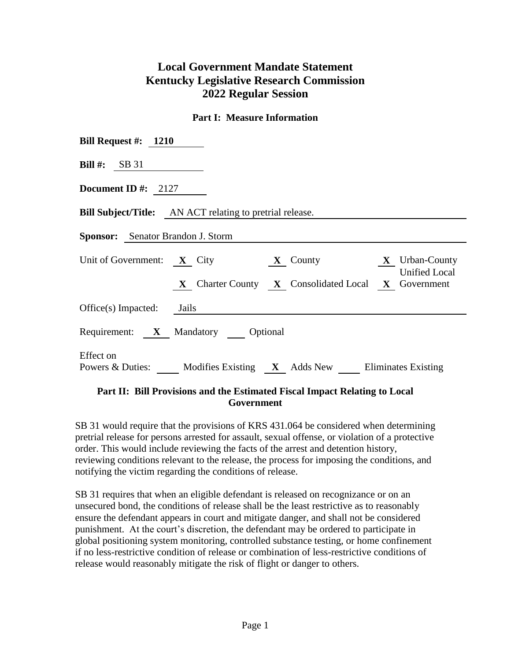# **Local Government Mandate Statement Kentucky Legislative Research Commission 2022 Regular Session**

#### **Part I: Measure Information**

| Bill Request #: $1210$                                                                              |  |  |  |  |  |  |  |
|-----------------------------------------------------------------------------------------------------|--|--|--|--|--|--|--|
| <b>Bill #:</b> SB 31                                                                                |  |  |  |  |  |  |  |
| Document ID #: $2127$                                                                               |  |  |  |  |  |  |  |
| <b>Bill Subject/Title:</b> AN ACT relating to pretrial release.                                     |  |  |  |  |  |  |  |
| <b>Sponsor:</b> Senator Brandon J. Storm                                                            |  |  |  |  |  |  |  |
| Unit of Government: $X$ City<br><b>X</b> Urban-County<br>$\mathbf X$ County<br><b>Unified Local</b> |  |  |  |  |  |  |  |
| X Charter County X Consolidated Local X Government                                                  |  |  |  |  |  |  |  |
| $Office(s)$ Impacted:<br>Jails                                                                      |  |  |  |  |  |  |  |
| Requirement: X Mandatory Optional                                                                   |  |  |  |  |  |  |  |
| Effect on<br>Powers & Duties: Modifies Existing X Adds New Eliminates Existing                      |  |  |  |  |  |  |  |

## **Part II: Bill Provisions and the Estimated Fiscal Impact Relating to Local Government**

SB 31 would require that the provisions of KRS 431.064 be considered when determining pretrial release for persons arrested for assault, sexual offense, or violation of a protective order. This would include reviewing the facts of the arrest and detention history, reviewing conditions relevant to the release, the process for imposing the conditions, and notifying the victim regarding the conditions of release.

SB 31 requires that when an eligible defendant is released on recognizance or on an unsecured bond, the conditions of release shall be the least restrictive as to reasonably ensure the defendant appears in court and mitigate danger, and shall not be considered punishment. At the court's discretion, the defendant may be ordered to participate in global positioning system monitoring, controlled substance testing, or home confinement if no less-restrictive condition of release or combination of less-restrictive conditions of release would reasonably mitigate the risk of flight or danger to others.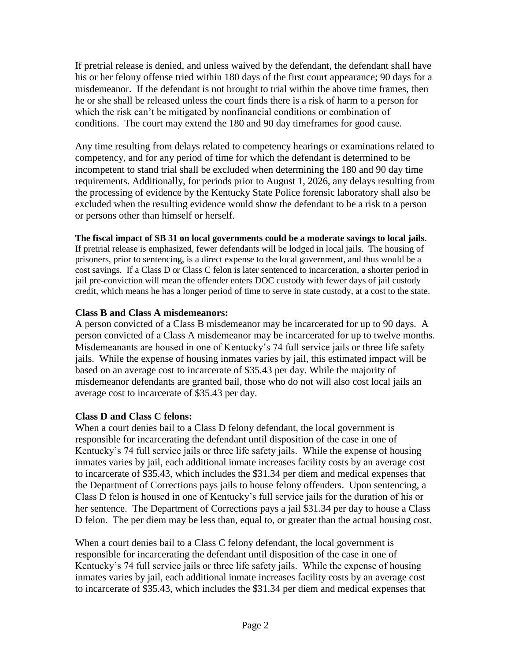If pretrial release is denied, and unless waived by the defendant, the defendant shall have his or her felony offense tried within 180 days of the first court appearance; 90 days for a misdemeanor. If the defendant is not brought to trial within the above time frames, then he or she shall be released unless the court finds there is a risk of harm to a person for which the risk can't be mitigated by nonfinancial conditions or combination of conditions. The court may extend the 180 and 90 day timeframes for good cause.

Any time resulting from delays related to competency hearings or examinations related to competency, and for any period of time for which the defendant is determined to be incompetent to stand trial shall be excluded when determining the 180 and 90 day time requirements. Additionally, for periods prior to August 1, 2026, any delays resulting from the processing of evidence by the Kentucky State Police forensic laboratory shall also be excluded when the resulting evidence would show the defendant to be a risk to a person or persons other than himself or herself.

## **The fiscal impact of SB 31 on local governments could be a moderate savings to local jails.**

If pretrial release is emphasized, fewer defendants will be lodged in local jails. The housing of prisoners, prior to sentencing, is a direct expense to the local government, and thus would be a cost savings. If a Class D or Class C felon is later sentenced to incarceration, a shorter period in jail pre-conviction will mean the offender enters DOC custody with fewer days of jail custody credit, which means he has a longer period of time to serve in state custody, at a cost to the state.

# **Class B and Class A misdemeanors:**

A person convicted of a Class B misdemeanor may be incarcerated for up to 90 days. A person convicted of a Class A misdemeanor may be incarcerated for up to twelve months. Misdemeanants are housed in one of Kentucky's 74 full service jails or three life safety jails. While the expense of housing inmates varies by jail, this estimated impact will be based on an average cost to incarcerate of \$35.43 per day. While the majority of misdemeanor defendants are granted bail, those who do not will also cost local jails an average cost to incarcerate of \$35.43 per day.

# **Class D and Class C felons:**

When a court denies bail to a Class D felony defendant, the local government is responsible for incarcerating the defendant until disposition of the case in one of Kentucky's 74 full service jails or three life safety jails. While the expense of housing inmates varies by jail, each additional inmate increases facility costs by an average cost to incarcerate of \$35.43, which includes the \$31.34 per diem and medical expenses that the Department of Corrections pays jails to house felony offenders. Upon sentencing, a Class D felon is housed in one of Kentucky's full service jails for the duration of his or her sentence. The Department of Corrections pays a jail \$31.34 per day to house a Class D felon. The per diem may be less than, equal to, or greater than the actual housing cost.

When a court denies bail to a Class C felony defendant, the local government is responsible for incarcerating the defendant until disposition of the case in one of Kentucky's 74 full service jails or three life safety jails. While the expense of housing inmates varies by jail, each additional inmate increases facility costs by an average cost to incarcerate of \$35.43, which includes the \$31.34 per diem and medical expenses that